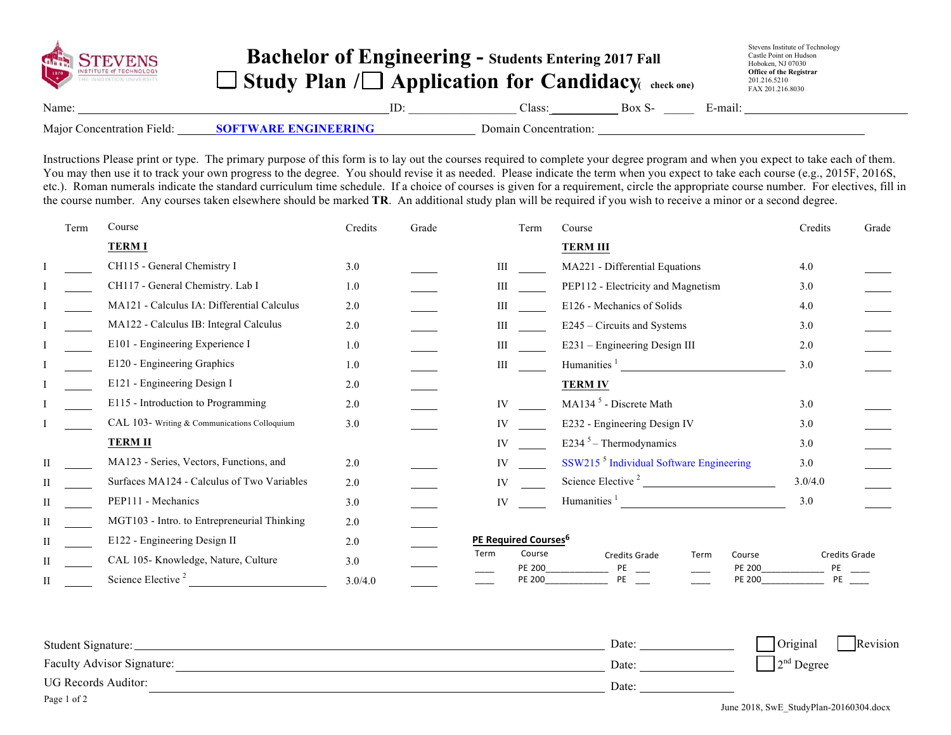| <b>GUNHALL STEEVENS</b>    | <b>Bachelor of Engineering - Students Entering 2017 Fall</b><br>$\Box$ Study Plan / $\Box$ Application for Candidacy $\Box$ check one) |     |                       |        | Stevens Institute of Technology<br>Castle Point on Hudson<br>Hoboken, NJ 07030<br><b>Office of the Registrar</b><br>201.216.5210<br>FAX 201.216.8030 |
|----------------------------|----------------------------------------------------------------------------------------------------------------------------------------|-----|-----------------------|--------|------------------------------------------------------------------------------------------------------------------------------------------------------|
| Name:                      |                                                                                                                                        | ID: | Class:                | Box S- | E-mail:                                                                                                                                              |
| Major Concentration Field: | <b>SOFTWARE ENGINEERING</b>                                                                                                            |     | Domain Concentration: |        |                                                                                                                                                      |

Instructions Please print or type. The primary purpose of this form is to lay out the courses required to complete your degree program and when you expect to take each of them. You may then use it to track your own progress to the degree. You should revise it as needed. Please indicate the term when you expect to take each course (e.g., 2015F, 2016S, etc.). Roman numerals indicate the standard curriculum time schedule. If a choice of courses is given for a requirement, circle the appropriate course number. For electives, fill in the course number. Any courses taken elsewhere should be marked **TR**. An additional study plan will be required if you wish to receive a minor or a second degree.

| Term         | Course                                       | Credits | Grade | Term                             | Course                                                                    | Credits                    | Grade |
|--------------|----------------------------------------------|---------|-------|----------------------------------|---------------------------------------------------------------------------|----------------------------|-------|
|              | <b>TERMI</b>                                 |         |       |                                  | <b>TERM III</b>                                                           |                            |       |
|              | CH115 - General Chemistry I                  | 3.0     |       | Ш                                | MA221 - Differential Equations                                            | 4.0                        |       |
|              | CH117 - General Chemistry. Lab I             | 1.0     |       | Ш                                | PEP112 - Electricity and Magnetism                                        | 3.0                        |       |
|              | MA121 - Calculus IA: Differential Calculus   | 2.0     |       | Ш                                | E126 - Mechanics of Solids                                                | 4.0                        |       |
|              | MA122 - Calculus IB: Integral Calculus       | 2.0     |       | Ш                                | E245 – Circuits and Systems                                               | 3.0                        |       |
|              | E101 - Engineering Experience I              | 1.0     |       | Ш                                | E231 – Engineering Design III                                             | 2.0                        |       |
|              | E120 - Engineering Graphics                  | 1.0     |       | Ш                                | Humanities $\frac{1}{1}$                                                  | 3.0                        |       |
|              | E121 - Engineering Design I                  | 2.0     |       |                                  | <b>TERM IV</b>                                                            |                            |       |
|              | E115 - Introduction to Programming           | 2.0     |       | IV                               | MA134 <sup>5</sup> - Discrete Math                                        | 3.0                        |       |
|              | CAL 103- Writing & Communications Colloquium | 3.0     |       | IV                               | E232 - Engineering Design IV                                              | 3.0                        |       |
|              | <b>TERM II</b>                               |         |       | IV                               | E234 $5$ – Thermodynamics                                                 | 3.0                        |       |
|              | MA123 - Series, Vectors, Functions, and      | 2.0     |       | IV                               | SSW215 <sup>5</sup> Individual Software Engineering                       | 3.0                        |       |
|              | Surfaces MA124 - Calculus of Two Variables   | 2.0     |       | IV                               | Science Elective <sup>2</sup>                                             | 3.0/4.0                    |       |
| Н            | PEP111 - Mechanics                           | 3.0     |       | <b>IV</b>                        | Humanities <sup>1</sup><br><u> 1980 - Jan Barbara Barat, prima popula</u> | 3.0                        |       |
|              | MGT103 - Intro. to Entrepreneurial Thinking  | 2.0     |       |                                  |                                                                           |                            |       |
|              | E122 - Engineering Design II                 | 2.0     |       | PE Required Courses <sup>6</sup> |                                                                           |                            |       |
|              | CAL 105-Knowledge, Nature, Culture           | 3.0     |       | Term<br>Course<br>PE 200         | Course<br><b>Credits Grade</b><br>Term<br><b>PE 200</b><br>PE             | <b>Credits Grade</b><br>PE |       |
| $\mathbf{I}$ | Science Elective <sup>2</sup>                | 3.0/4.0 |       | <b>PE 200</b>                    | <b>PE 200</b><br>PE                                                       | PE                         |       |

| Student Signature:                | Date: | Original<br>Revision |
|-----------------------------------|-------|----------------------|
| <b>Faculty Advisor Signature:</b> | Date: | ⊢∍na<br>" Degree     |
| UG Records Auditor:               | Date: |                      |
| Page 1 of 2                       |       |                      |